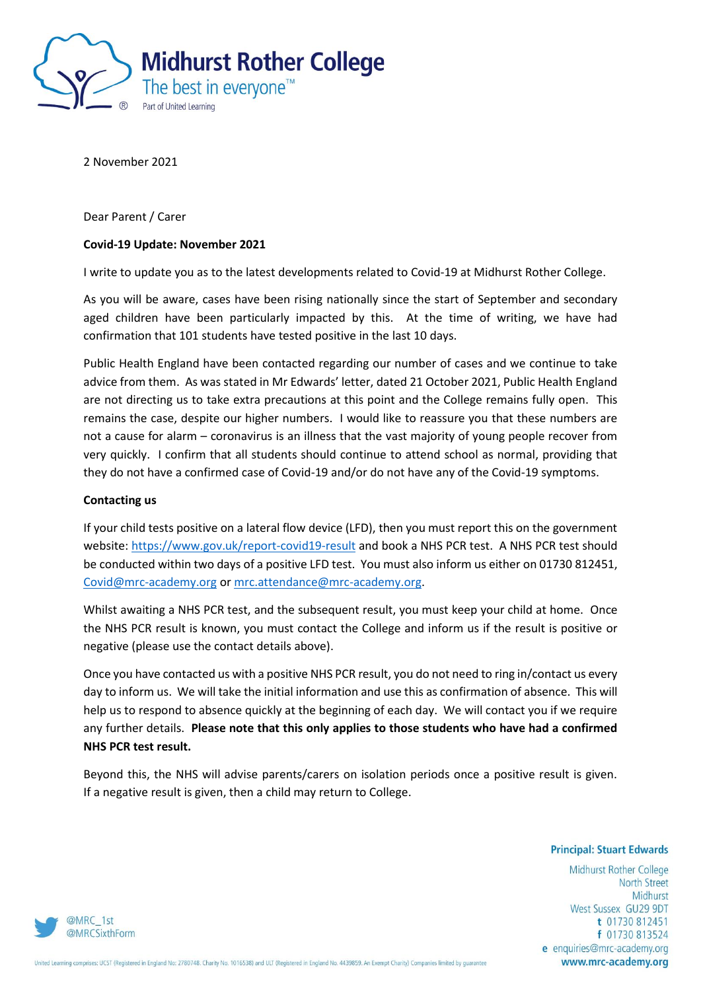

2 November 2021

Dear Parent / Carer

# **Covid-19 Update: November 2021**

I write to update you as to the latest developments related to Covid-19 at Midhurst Rother College.

As you will be aware, cases have been rising nationally since the start of September and secondary aged children have been particularly impacted by this. At the time of writing, we have had confirmation that 101 students have tested positive in the last 10 days.

Public Health England have been contacted regarding our number of cases and we continue to take advice from them. As was stated in Mr Edwards' letter, dated 21 October 2021, Public Health England are not directing us to take extra precautions at this point and the College remains fully open. This remains the case, despite our higher numbers. I would like to reassure you that these numbers are not a cause for alarm – coronavirus is an illness that the vast majority of young people recover from very quickly. I confirm that all students should continue to attend school as normal, providing that they do not have a confirmed case of Covid-19 and/or do not have any of the Covid-19 symptoms.

### **Contacting us**

If your child tests positive on a lateral flow device (LFD), then you must report this on the government website[: https://www.gov.uk/report-covid19-result](https://www.gov.uk/report-covid19-result) and book a NHS PCR test. A NHS PCR test should be conducted within two days of a positive LFD test. You must also inform us either on 01730 812451, [Covid@mrc-academy.org](mailto:Covid@mrc-academy.org) o[r mrc.attendance@mrc-academy.org.](mailto:mrc.attendance@mrc-academy.org)

Whilst awaiting a NHS PCR test, and the subsequent result, you must keep your child at home. Once the NHS PCR result is known, you must contact the College and inform us if the result is positive or negative (please use the contact details above).

Once you have contacted us with a positive NHS PCR result, you do not need to ring in/contact us every day to inform us. We will take the initial information and use this as confirmation of absence. This will help us to respond to absence quickly at the beginning of each day. We will contact you if we require any further details. **Please note that this only applies to those students who have had a confirmed NHS PCR test result.** 

Beyond this, the NHS will advise parents/carers on isolation periods once a positive result is given. If a negative result is given, then a child may return to College.

#### **Principal: Stuart Edwards**

Midhurst Rother College **North Street** Midhurst West Sussex GU29 9DT t 01730 812451 f 01730 813524 e enquiries@mrc-academy.org www.mrc-academy.org